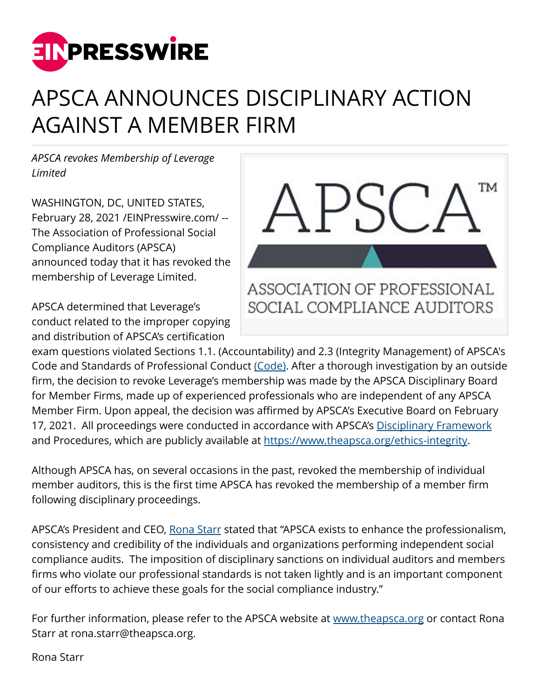

## APSCA ANNOUNCES DISCIPLINARY ACTION AGAINST A MEMBER FIRM

*APSCA revokes Membership of Leverage Limited* 

WASHINGTON, DC, UNITED STATES, February 28, 2021 /[EINPresswire.com](http://www.einpresswire.com)/ -- The Association of Professional Social Compliance Auditors (APSCA) announced today that it has revoked the membership of Leverage Limited.

APSCA determined that Leverage's conduct related to the improper copying and distribution of APSCA's certification



exam questions violated Sections 1.1. (Accountability) and 2.3 (Integrity Management) of APSCA's Code and Standards of Professional Conduct [\(Code\)](https://www.theapsca.org/stay-updated/resource-library/). After a thorough investigation by an outside firm, the decision to revoke Leverage's membership was made by the APSCA Disciplinary Board for Member Firms, made up of experienced professionals who are independent of any APSCA Member Firm. Upon appeal, the decision was affirmed by APSCA's Executive Board on February 17, 2021. All proceedings were conducted in accordance with APSCA's [Disciplinary Framework](http://www.theapsca.org/ethics-integrity) and Procedures, which are publicly available at<https://www.theapsca.org/ethics-integrity>.

Although APSCA has, on several occasions in the past, revoked the membership of individual member auditors, this is the first time APSCA has revoked the membership of a member firm following disciplinary proceedings.

APSCA's President and CEO, [Rona Starr](https://www.theapsca.org/contact-us/) stated that "APSCA exists to enhance the professionalism, consistency and credibility of the individuals and organizations performing independent social compliance audits. The imposition of disciplinary sanctions on individual auditors and members firms who violate our professional standards is not taken lightly and is an important component of our efforts to achieve these goals for the social compliance industry."

For further information, please refer to the APSCA website at [www.theapsca.org](http://www.theapsca.org) or contact Rona Starr at rona.starr@theapsca.org.

Rona Starr